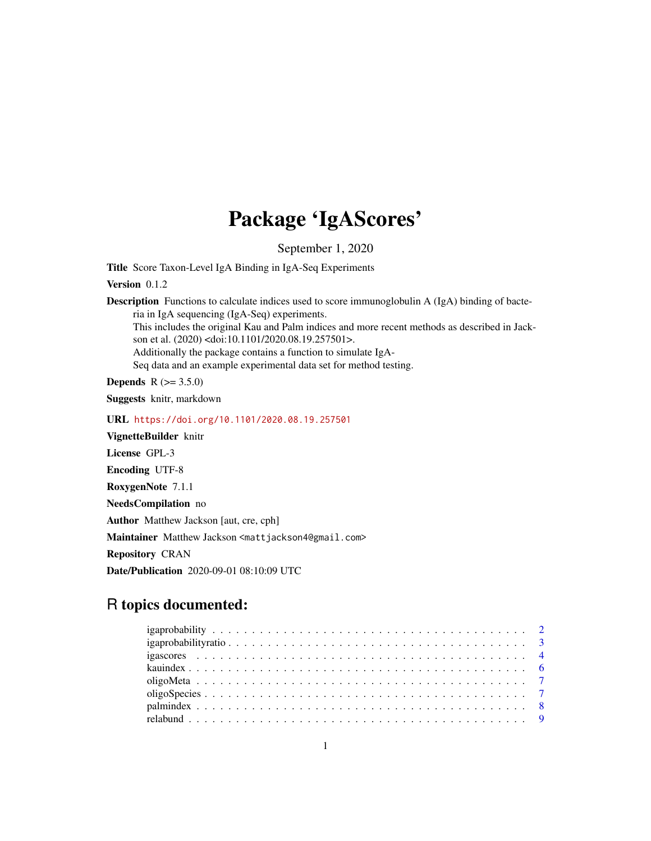## Package 'IgAScores'

September 1, 2020

Title Score Taxon-Level IgA Binding in IgA-Seq Experiments

Version 0.1.2

Description Functions to calculate indices used to score immunoglobulin A (IgA) binding of bacteria in IgA sequencing (IgA-Seq) experiments.

This includes the original Kau and Palm indices and more recent methods as described in Jackson et al. (2020) <doi:10.1101/2020.08.19.257501>.

Additionally the package contains a function to simulate IgA-

Seq data and an example experimental data set for method testing.

**Depends** R  $(>= 3.5.0)$ 

Suggests knitr, markdown

URL <https://doi.org/10.1101/2020.08.19.257501>

VignetteBuilder knitr

License GPL-3

Encoding UTF-8

RoxygenNote 7.1.1

NeedsCompilation no

Author Matthew Jackson [aut, cre, cph]

Maintainer Matthew Jackson <mattjackson4@gmail.com>

Repository CRAN

Date/Publication 2020-09-01 08:10:09 UTC

## R topics documented: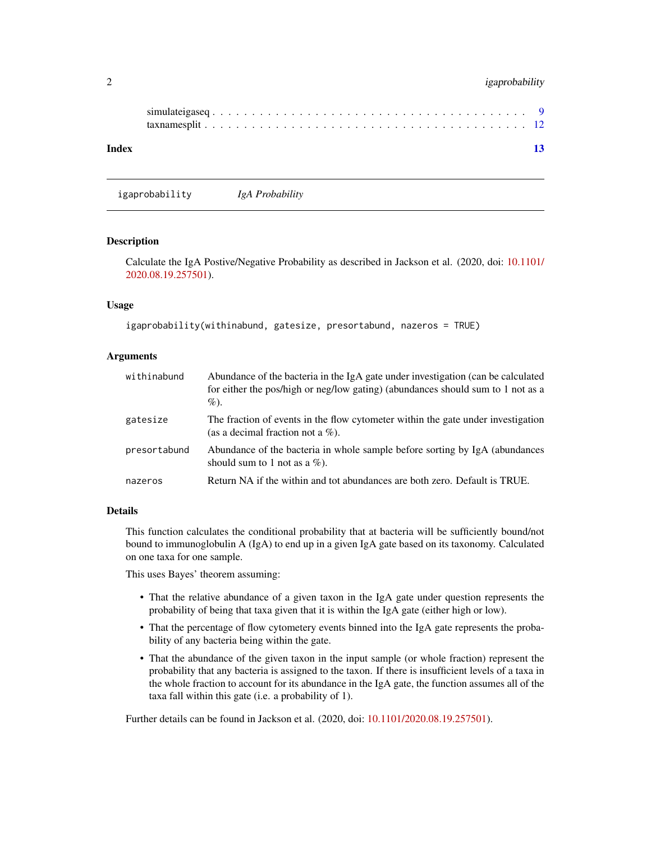## <span id="page-1-0"></span>2 igaprobability

| Index |  |  |  |  |  |  |  |  |  |  |  |  |  |  |  |  |  |  |
|-------|--|--|--|--|--|--|--|--|--|--|--|--|--|--|--|--|--|--|

igaprobability *IgA Probability*

## Description

Calculate the IgA Postive/Negative Probability as described in Jackson et al. (2020, doi: [10.1101/](https://doi.org/10.1101/2020.08.19.257501) [2020.08.19.257501\)](https://doi.org/10.1101/2020.08.19.257501).

#### Usage

```
igaprobability(withinabund, gatesize, presortabund, nazeros = TRUE)
```
#### Arguments

| withinabund  | Abundance of the bacteria in the IgA gate under investigation (can be calculated<br>for either the pos/high or neg/low gating) (abundances should sum to 1 not as a<br>$\%$ ). |
|--------------|--------------------------------------------------------------------------------------------------------------------------------------------------------------------------------|
| gatesize     | The fraction of events in the flow cytometer within the gate under investigation<br>(as a decimal fraction not a $\%$ ).                                                       |
| presortabund | Abundance of the bacteria in whole sample before sorting by IgA (abundances)<br>should sum to 1 not as a $\%$ ).                                                               |
| nazeros      | Return NA if the within and tot abundances are both zero. Default is TRUE.                                                                                                     |

## Details

This function calculates the conditional probability that at bacteria will be sufficiently bound/not bound to immunoglobulin A (IgA) to end up in a given IgA gate based on its taxonomy. Calculated on one taxa for one sample.

This uses Bayes' theorem assuming:

- That the relative abundance of a given taxon in the IgA gate under question represents the probability of being that taxa given that it is within the IgA gate (either high or low).
- That the percentage of flow cytometery events binned into the IgA gate represents the probability of any bacteria being within the gate.
- That the abundance of the given taxon in the input sample (or whole fraction) represent the probability that any bacteria is assigned to the taxon. If there is insufficient levels of a taxa in the whole fraction to account for its abundance in the IgA gate, the function assumes all of the taxa fall within this gate (i.e. a probability of 1).

Further details can be found in Jackson et al. (2020, doi: [10.1101/2020.08.19.257501\)](https://doi.org/10.1101/2020.08.19.257501).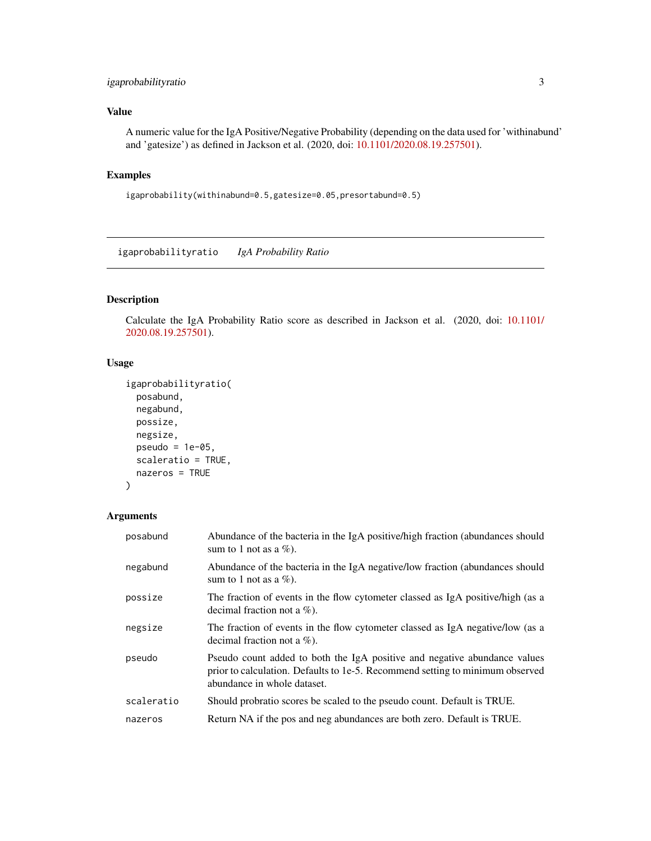## <span id="page-2-0"></span>igaprobabilityratio 3

## Value

A numeric value for the IgA Positive/Negative Probability (depending on the data used for 'withinabund' and 'gatesize') as defined in Jackson et al. (2020, doi: [10.1101/2020.08.19.257501\)](https://doi.org/10.1101/2020.08.19.257501).

## Examples

igaprobability(withinabund=0.5,gatesize=0.05,presortabund=0.5)

igaprobabilityratio *IgA Probability Ratio*

## Description

Calculate the IgA Probability Ratio score as described in Jackson et al. (2020, doi: [10.1101/](https://doi.org/10.1101/2020.08.19.257501) [2020.08.19.257501\)](https://doi.org/10.1101/2020.08.19.257501).

## Usage

```
igaprobabilityratio(
 posabund,
 negabund,
 possize,
 negsize,
 pseudo = 1e-05,
  scaleratio = TRUE,
 nazeros = TRUE
\mathcal{L}
```
## Arguments

| posabund   | Abundance of the bacteria in the IgA positive/high fraction (abundances should<br>sum to 1 not as a $\%$ ).                                                                               |
|------------|-------------------------------------------------------------------------------------------------------------------------------------------------------------------------------------------|
| negabund   | Abundance of the bacteria in the IgA negative/low fraction (abundances should<br>sum to 1 not as a $\%$ ).                                                                                |
| possize    | The fraction of events in the flow cytometer classed as IgA positive/high (as a<br>decimal fraction not a $\%$ ).                                                                         |
| negsize    | The fraction of events in the flow cytometer classed as IgA negative/low (as a<br>decimal fraction not a $\%$ ).                                                                          |
| pseudo     | Pseudo count added to both the IgA positive and negative abundance values<br>prior to calculation. Defaults to 1e-5. Recommend setting to minimum observed<br>abundance in whole dataset. |
| scaleratio | Should probratio scores be scaled to the pseudo count. Default is TRUE.                                                                                                                   |
| nazeros    | Return NA if the pos and neg abundances are both zero. Default is TRUE.                                                                                                                   |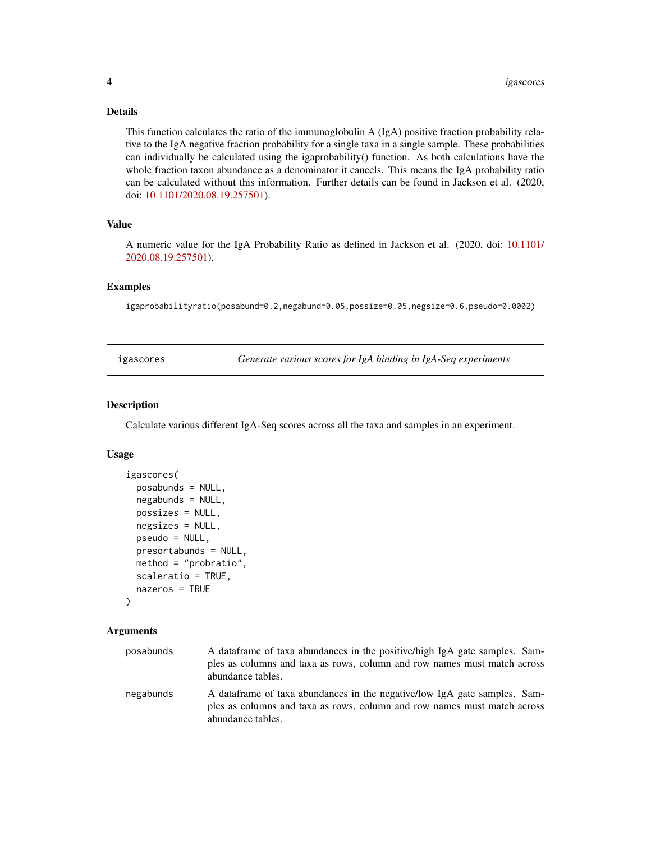## <span id="page-3-0"></span>Details

This function calculates the ratio of the immunoglobulin A (IgA) positive fraction probability relative to the IgA negative fraction probability for a single taxa in a single sample. These probabilities can individually be calculated using the igaprobability() function. As both calculations have the whole fraction taxon abundance as a denominator it cancels. This means the IgA probability ratio can be calculated without this information. Further details can be found in Jackson et al. (2020, doi: [10.1101/2020.08.19.257501\)](https://doi.org/10.1101/2020.08.19.257501).

#### Value

A numeric value for the IgA Probability Ratio as defined in Jackson et al. (2020, doi: [10.1101/](https://doi.org/10.1101/2020.08.19.257501) [2020.08.19.257501\)](https://doi.org/10.1101/2020.08.19.257501).

## Examples

igaprobabilityratio(posabund=0.2,negabund=0.05,possize=0.05,negsize=0.6,pseudo=0.0002)

igascores *Generate various scores for IgA binding in IgA-Seq experiments*

#### Description

Calculate various different IgA-Seq scores across all the taxa and samples in an experiment.

#### Usage

```
igascores(
 posabunds = NULL,
 negabunds = NULL,
 possizes = NULL,
 negsizes = NULL,
  pseudo = NULL,
 presortabunds = NULL,
 method = "probratio",
  scaleratio = TRUE,
 nazeros = TRUE
)
```
## Arguments

| posabunds | A dataframe of taxa abundances in the positive/high IgA gate samples. Sam-<br>ples as columns and taxa as rows, column and row names must match across<br>abundance tables. |
|-----------|-----------------------------------------------------------------------------------------------------------------------------------------------------------------------------|
| negabunds | A dataframe of taxa abundances in the negative/low IgA gate samples. Sam-<br>ples as columns and taxa as rows, column and row names must match across<br>abundance tables.  |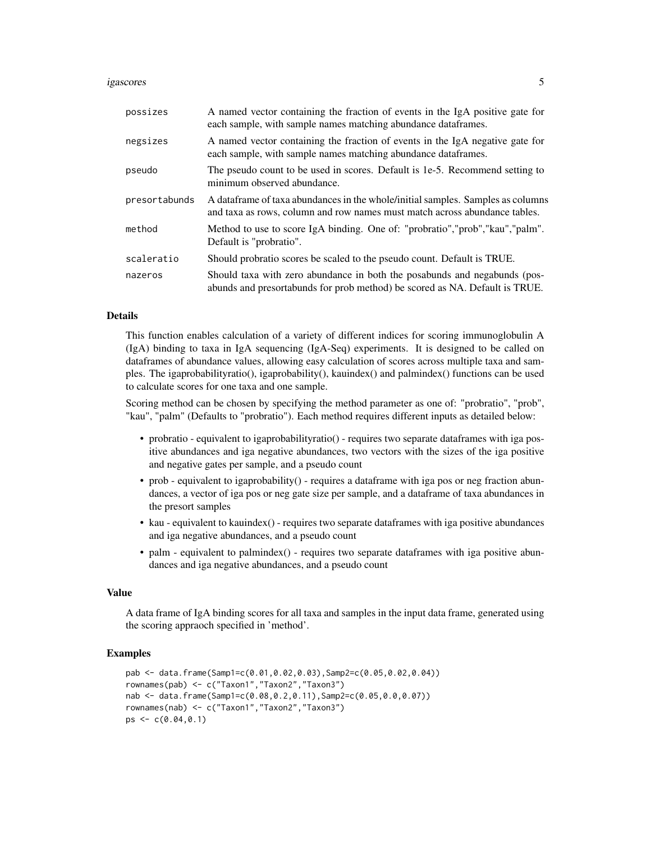#### igascores 5

| possizes      | A named vector containing the fraction of events in the IgA positive gate for<br>each sample, with sample names matching abundance dataframes.                 |
|---------------|----------------------------------------------------------------------------------------------------------------------------------------------------------------|
| negsizes      | A named vector containing the fraction of events in the IgA negative gate for<br>each sample, with sample names matching abundance dataframes.                 |
| pseudo        | The pseudo count to be used in scores. Default is 1e-5. Recommend setting to<br>minimum observed abundance.                                                    |
| presortabunds | A data frame of taxa abundances in the whole/initial samples. Samples as columns<br>and taxa as rows, column and row names must match across abundance tables. |
| method        | Method to use to score IgA binding. One of: "probratio","prob","kau","palm".<br>Default is "probratio".                                                        |
| scaleratio    | Should probratio scores be scaled to the pseudo count. Default is TRUE.                                                                                        |
| nazeros       | Should taxa with zero abundance in both the posabunds and negabunds (pos-<br>abunds and presortabunds for prob method) be scored as NA. Default is TRUE.       |

#### Details

This function enables calculation of a variety of different indices for scoring immunoglobulin A (IgA) binding to taxa in IgA sequencing (IgA-Seq) experiments. It is designed to be called on dataframes of abundance values, allowing easy calculation of scores across multiple taxa and samples. The igaprobabilityratio(), igaprobability(), kauindex() and palmindex() functions can be used to calculate scores for one taxa and one sample.

Scoring method can be chosen by specifying the method parameter as one of: "probratio", "prob", "kau", "palm" (Defaults to "probratio"). Each method requires different inputs as detailed below:

- probratio equivalent to igaprobabilityratio() requires two separate dataframes with iga positive abundances and iga negative abundances, two vectors with the sizes of the iga positive and negative gates per sample, and a pseudo count
- prob equivalent to igaprobability() requires a dataframe with iga pos or neg fraction abundances, a vector of iga pos or neg gate size per sample, and a dataframe of taxa abundances in the presort samples
- kau equivalent to kauindex() requires two separate dataframes with iga positive abundances and iga negative abundances, and a pseudo count
- palm equivalent to palmindex() requires two separate dataframes with iga positive abundances and iga negative abundances, and a pseudo count

#### Value

A data frame of IgA binding scores for all taxa and samples in the input data frame, generated using the scoring appraoch specified in 'method'.

## Examples

```
pab <- data.frame(Samp1=c(0.01,0.02,0.03),Samp2=c(0.05,0.02,0.04))
rownames(pab) <- c("Taxon1","Taxon2","Taxon3")
nab <- data.frame(Samp1=c(0.08,0.2,0.11),Samp2=c(0.05,0.0,0.07))
rownames(nab) <- c("Taxon1","Taxon2","Taxon3")
ps < -c(0.04, 0.1)
```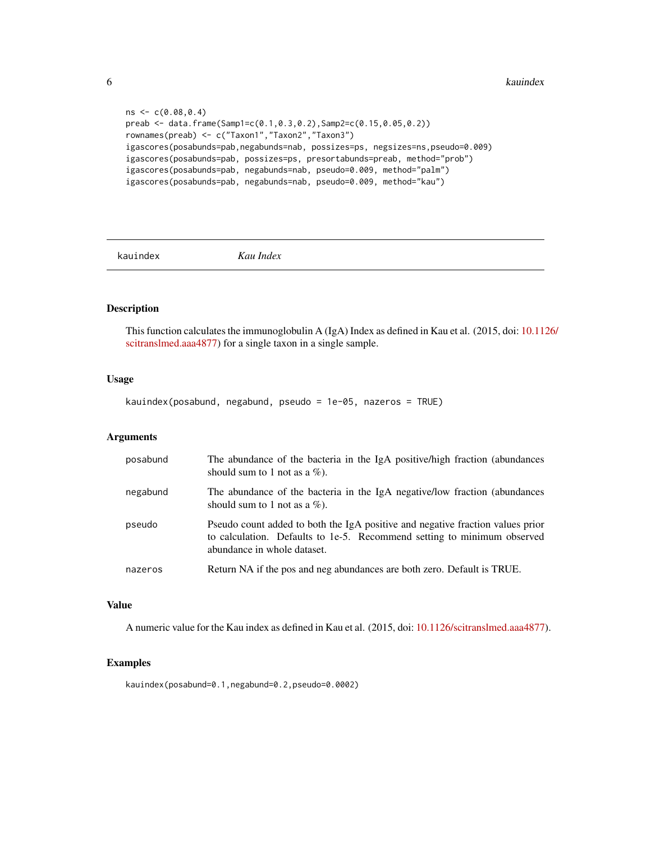<span id="page-5-0"></span>**6** kauindex **b** kauindex **b** kauindex **b** kauindex **b** kauindex **b** kauindex **b** kauindex **b** kauindex **b** kauindex **b** kauindex **b** kauindex **b** kauindex **b** kauindex **b** kauindex **b** kauindex **b** kauindex **b** kauindex

```
ns < -c(0.08, 0.4)preab <- data.frame(Samp1=c(0.1,0.3,0.2),Samp2=c(0.15,0.05,0.2))
rownames(preab) <- c("Taxon1","Taxon2","Taxon3")
igascores(posabunds=pab,negabunds=nab, possizes=ps, negsizes=ns,pseudo=0.009)
igascores(posabunds=pab, possizes=ps, presortabunds=preab, method="prob")
igascores(posabunds=pab, negabunds=nab, pseudo=0.009, method="palm")
igascores(posabunds=pab, negabunds=nab, pseudo=0.009, method="kau")
```
kauindex *Kau Index*

## Description

This function calculates the immunoglobulin A (IgA) Index as defined in Kau et al. (2015, doi: [10.112](https://doi.org/10.1126/scitranslmed.aaa4877)6/ [scitranslmed.aaa4877\)](https://doi.org/10.1126/scitranslmed.aaa4877) for a single taxon in a single sample.

## Usage

kauindex(posabund, negabund, pseudo = 1e-05, nazeros = TRUE)

## Arguments

| posabund | The abundance of the bacteria in the IgA positive/high fraction (abundances<br>should sum to 1 not as a $\%$ ).                                                                          |
|----------|------------------------------------------------------------------------------------------------------------------------------------------------------------------------------------------|
| negabund | The abundance of the bacteria in the IgA negative/low fraction (abundances<br>should sum to 1 not as a $\%$ ).                                                                           |
| pseudo   | Pseudo count added to both the IgA positive and negative fraction values prior<br>to calculation. Defaults to 1e-5. Recommend setting to minimum observed<br>abundance in whole dataset. |
| nazeros  | Return NA if the pos and neg abundances are both zero. Default is TRUE.                                                                                                                  |

#### Value

A numeric value for the Kau index as defined in Kau et al. (2015, doi: [10.1126/scitranslmed.aaa4877\)](https://doi.org/10.1126/scitranslmed.aaa4877).

#### Examples

kauindex(posabund=0.1,negabund=0.2,pseudo=0.0002)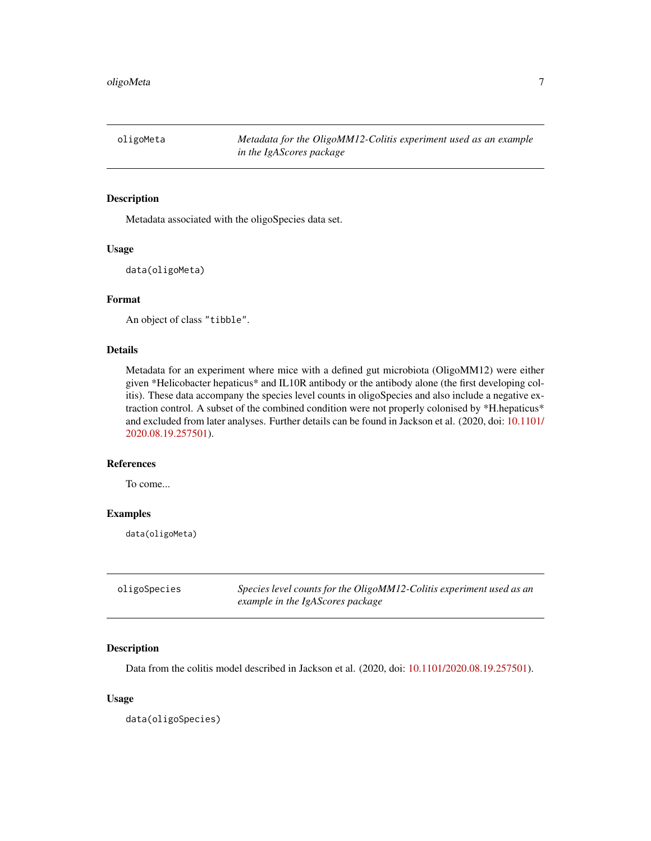<span id="page-6-0"></span>

#### Description

Metadata associated with the oligoSpecies data set.

#### Usage

```
data(oligoMeta)
```
## Format

An object of class "tibble".

#### Details

Metadata for an experiment where mice with a defined gut microbiota (OligoMM12) were either given \*Helicobacter hepaticus\* and IL10R antibody or the antibody alone (the first developing colitis). These data accompany the species level counts in oligoSpecies and also include a negative extraction control. A subset of the combined condition were not properly colonised by \*H.hepaticus\* and excluded from later analyses. Further details can be found in Jackson et al. (2020, doi: [10.1101/](https://doi.org/10.1101/2020.08.19.257501) [2020.08.19.257501\)](https://doi.org/10.1101/2020.08.19.257501).

## References

To come...

## Examples

data(oligoMeta)

| oligoSpecies | Species level counts for the OligoMM12-Colitis experiment used as an |
|--------------|----------------------------------------------------------------------|
|              | example in the IgAScores package                                     |

## Description

Data from the colitis model described in Jackson et al. (2020, doi: [10.1101/2020.08.19.257501\)](https://doi.org/10.1101/2020.08.19.257501).

#### Usage

data(oligoSpecies)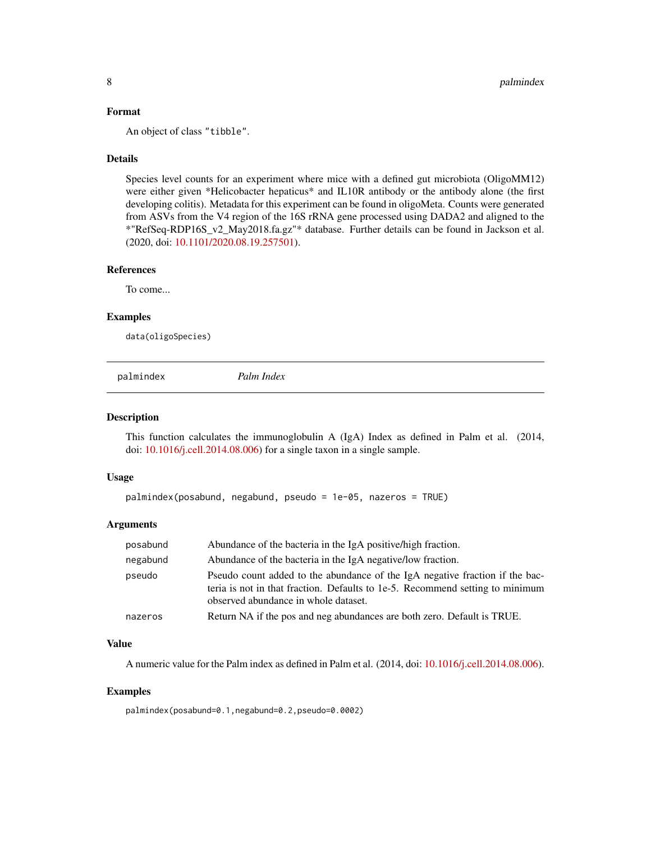## <span id="page-7-0"></span>Format

An object of class "tibble".

## Details

Species level counts for an experiment where mice with a defined gut microbiota (OligoMM12) were either given \*Helicobacter hepaticus\* and IL10R antibody or the antibody alone (the first developing colitis). Metadata for this experiment can be found in oligoMeta. Counts were generated from ASVs from the V4 region of the 16S rRNA gene processed using DADA2 and aligned to the \*"RefSeq-RDP16S\_v2\_May2018.fa.gz"\* database. Further details can be found in Jackson et al. (2020, doi: [10.1101/2020.08.19.257501\)](https://doi.org/10.1101/2020.08.19.257501).

## References

To come...

#### Examples

data(oligoSpecies)

palmindex *Palm Index*

#### Description

This function calculates the immunoglobulin A (IgA) Index as defined in Palm et al. (2014, doi: [10.1016/j.cell.2014.08.006\)](https://doi.org/10.1016/j.cell.2014.08.006) for a single taxon in a single sample.

#### Usage

```
palmindex(posabund, negabund, pseudo = 1e-05, nazeros = TRUE)
```
## Arguments

| posabund | Abundance of the bacteria in the IgA positive/high fraction.                                                                                                                                          |
|----------|-------------------------------------------------------------------------------------------------------------------------------------------------------------------------------------------------------|
| negabund | Abundance of the bacteria in the IgA negative/low fraction.                                                                                                                                           |
| pseudo   | Pseudo count added to the abundance of the IgA negative fraction if the bac-<br>teria is not in that fraction. Defaults to 1e-5. Recommend setting to minimum<br>observed abundance in whole dataset. |
| nazeros  | Return NA if the pos and neg abundances are both zero. Default is TRUE.                                                                                                                               |

#### Value

A numeric value for the Palm index as defined in Palm et al. (2014, doi: [10.1016/j.cell.2014.08.006\)](https://doi.org/10.1016/j.cell.2014.08.006).

#### Examples

palmindex(posabund=0.1,negabund=0.2,pseudo=0.0002)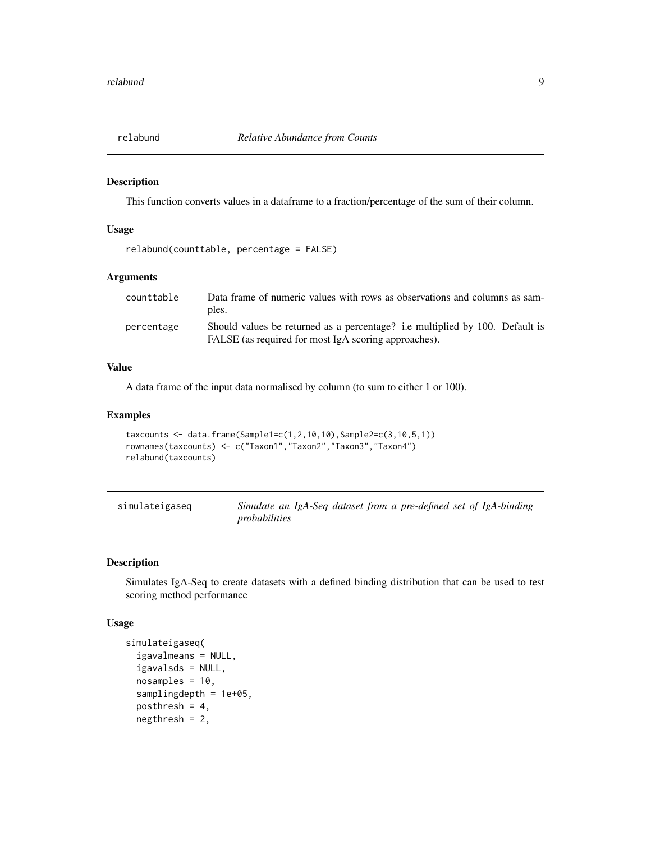<span id="page-8-0"></span>

#### Description

This function converts values in a dataframe to a fraction/percentage of the sum of their column.

#### Usage

```
relabund(counttable, percentage = FALSE)
```
## Arguments

| counttable | Data frame of numeric values with rows as observations and columns as sam-   |
|------------|------------------------------------------------------------------------------|
|            | ples.                                                                        |
| percentage | Should values be returned as a percentage? i.e multiplied by 100. Default is |
|            | FALSE (as required for most IgA scoring approaches).                         |

## Value

A data frame of the input data normalised by column (to sum to either 1 or 100).

## Examples

```
taxcounts <- data.frame(Sample1=c(1, 2, 10, 10), Sample2=c(3, 10, 5, 1))
rownames(taxcounts) <- c("Taxon1","Taxon2","Taxon3","Taxon4")
relabund(taxcounts)
```

| simulateigaseg | Simulate an IgA-Seq dataset from a pre-defined set of IgA-binding |  |  |  |  |
|----------------|-------------------------------------------------------------------|--|--|--|--|
|                | probabilities                                                     |  |  |  |  |

#### Description

Simulates IgA-Seq to create datasets with a defined binding distribution that can be used to test scoring method performance

#### Usage

```
simulateigaseq(
  igavalmeans = NULL,
  igavalsds = NULL,
  nosamples = 10,
  samplingdepth = 1e+05,
  posthresh = 4,
  negthresh = 2,
```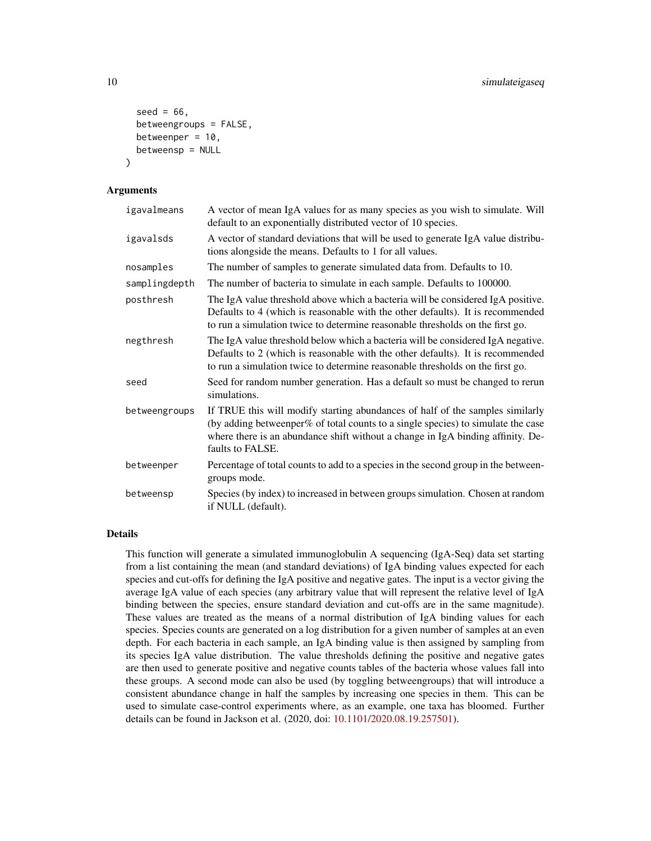```
seed = 66.
 betweengroups = FALSE,
 betweenper = 10.
 betweensp = NULL
)
```
#### **Arguments**

| igavalmeans   | A vector of mean IgA values for as many species as you wish to simulate. Will<br>default to an exponentially distributed vector of 10 species.                                                                                                                           |
|---------------|--------------------------------------------------------------------------------------------------------------------------------------------------------------------------------------------------------------------------------------------------------------------------|
| igavalsds     | A vector of standard deviations that will be used to generate IgA value distribu-<br>tions alongside the means. Defaults to 1 for all values.                                                                                                                            |
| nosamples     | The number of samples to generate simulated data from. Defaults to 10.                                                                                                                                                                                                   |
| samplingdepth | The number of bacteria to simulate in each sample. Defaults to 100000.                                                                                                                                                                                                   |
| posthresh     | The IgA value threshold above which a bacteria will be considered IgA positive.<br>Defaults to 4 (which is reasonable with the other defaults). It is recommended<br>to run a simulation twice to determine reasonable thresholds on the first go.                       |
| negthresh     | The IgA value threshold below which a bacteria will be considered IgA negative.<br>Defaults to 2 (which is reasonable with the other defaults). It is recommended<br>to run a simulation twice to determine reasonable thresholds on the first go.                       |
| seed          | Seed for random number generation. Has a default so must be changed to rerun<br>simulations.                                                                                                                                                                             |
| betweengroups | If TRUE this will modify starting abundances of half of the samples similarly<br>(by adding betweenper% of total counts to a single species) to simulate the case<br>where there is an abundance shift without a change in IgA binding affinity. De-<br>faults to FALSE. |
| betweenper    | Percentage of total counts to add to a species in the second group in the between-<br>groups mode.                                                                                                                                                                       |
| betweensp     | Species (by index) to increased in between groups simulation. Chosen at random<br>if NULL (default).                                                                                                                                                                     |

#### Details

This function will generate a simulated immunoglobulin A sequencing (IgA-Seq) data set starting from a list containing the mean (and standard deviations) of IgA binding values expected for each species and cut-offs for defining the IgA positive and negative gates. The input is a vector giving the average IgA value of each species (any arbitrary value that will represent the relative level of IgA binding between the species, ensure standard deviation and cut-offs are in the same magnitude). These values are treated as the means of a normal distribution of IgA binding values for each species. Species counts are generated on a log distribution for a given number of samples at an even depth. For each bacteria in each sample, an IgA binding value is then assigned by sampling from its species IgA value distribution. The value thresholds defining the positive and negative gates are then used to generate positive and negative counts tables of the bacteria whose values fall into these groups. A second mode can also be used (by toggling betweengroups) that will introduce a consistent abundance change in half the samples by increasing one species in them. This can be used to simulate case-control experiments where, as an example, one taxa has bloomed. Further details can be found in Jackson et al. (2020, doi: [10.1101/2020.08.19.257501\)](https://doi.org/10.1101/2020.08.19.257501).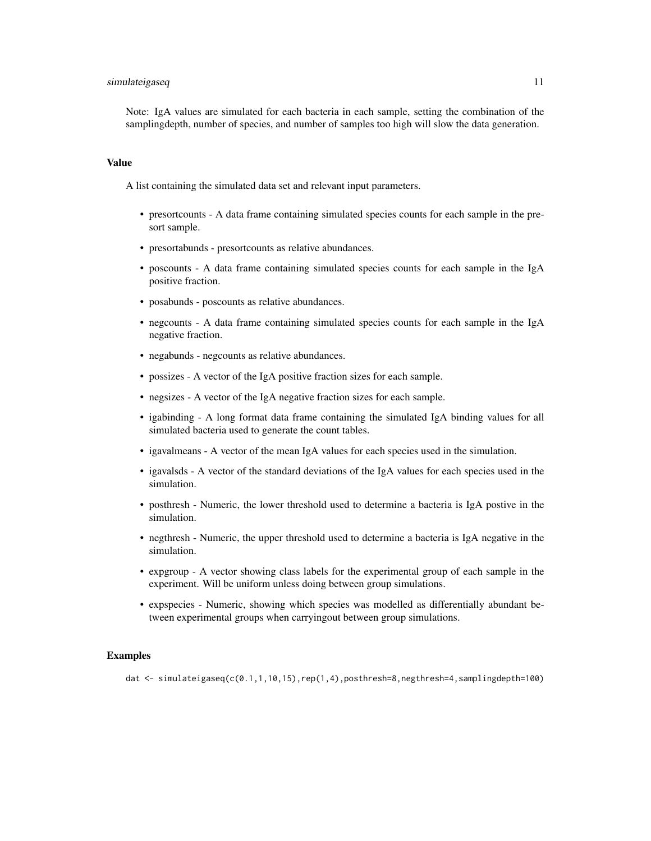## simulateigaseq and the state of the state of the state of the state of the state of the state of the state of the state of the state of the state of the state of the state of the state of the state of the state of the stat

Note: IgA values are simulated for each bacteria in each sample, setting the combination of the samplingdepth, number of species, and number of samples too high will slow the data generation.

#### Value

A list containing the simulated data set and relevant input parameters.

- presortcounts A data frame containing simulated species counts for each sample in the presort sample.
- presortabunds presortcounts as relative abundances.
- poscounts A data frame containing simulated species counts for each sample in the IgA positive fraction.
- posabunds poscounts as relative abundances.
- negcounts A data frame containing simulated species counts for each sample in the IgA negative fraction.
- negabunds negcounts as relative abundances.
- possizes A vector of the IgA positive fraction sizes for each sample.
- negsizes A vector of the IgA negative fraction sizes for each sample.
- igabinding A long format data frame containing the simulated IgA binding values for all simulated bacteria used to generate the count tables.
- igavalmeans A vector of the mean IgA values for each species used in the simulation.
- igavalsds A vector of the standard deviations of the IgA values for each species used in the simulation.
- posthresh Numeric, the lower threshold used to determine a bacteria is IgA postive in the simulation.
- negthresh Numeric, the upper threshold used to determine a bacteria is IgA negative in the simulation.
- expgroup A vector showing class labels for the experimental group of each sample in the experiment. Will be uniform unless doing between group simulations.
- expspecies Numeric, showing which species was modelled as differentially abundant between experimental groups when carryingout between group simulations.

#### Examples

dat <- simulateigaseq(c(0.1,1,10,15),rep(1,4),posthresh=8,negthresh=4,samplingdepth=100)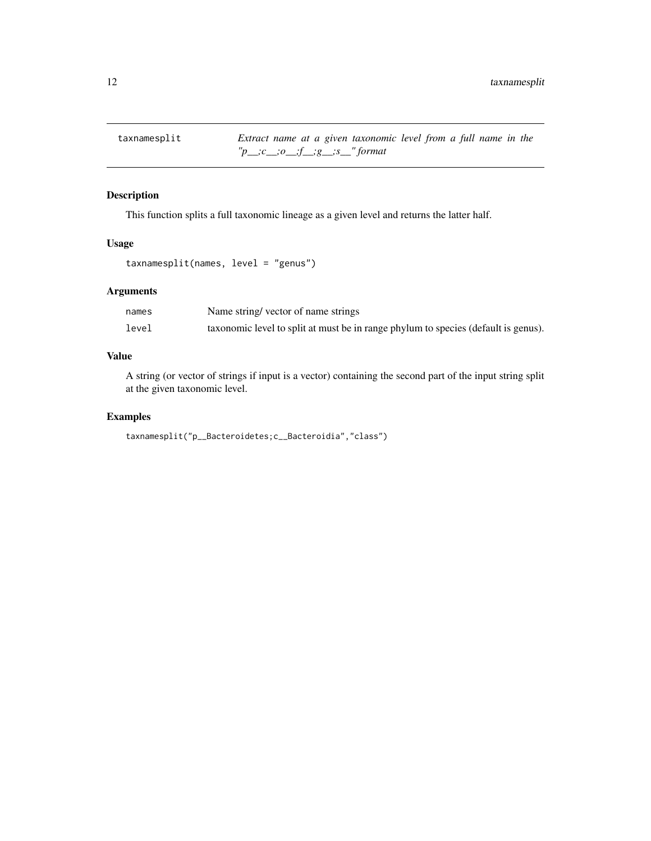<span id="page-11-0"></span>taxnamesplit *Extract name at a given taxonomic level from a full name in the "p\_\_;c\_\_;o\_\_;f\_\_;g\_\_;s\_\_" format*

## Description

This function splits a full taxonomic lineage as a given level and returns the latter half.

#### Usage

```
taxnamesplit(names, level = "genus")
```
## Arguments

| names | Name string/vector of name strings                                                 |
|-------|------------------------------------------------------------------------------------|
| level | taxonomic level to split at must be in range phylum to species (default is genus). |

## Value

A string (or vector of strings if input is a vector) containing the second part of the input string split at the given taxonomic level.

## Examples

```
taxnamesplit("p__Bacteroidetes;c__Bacteroidia","class")
```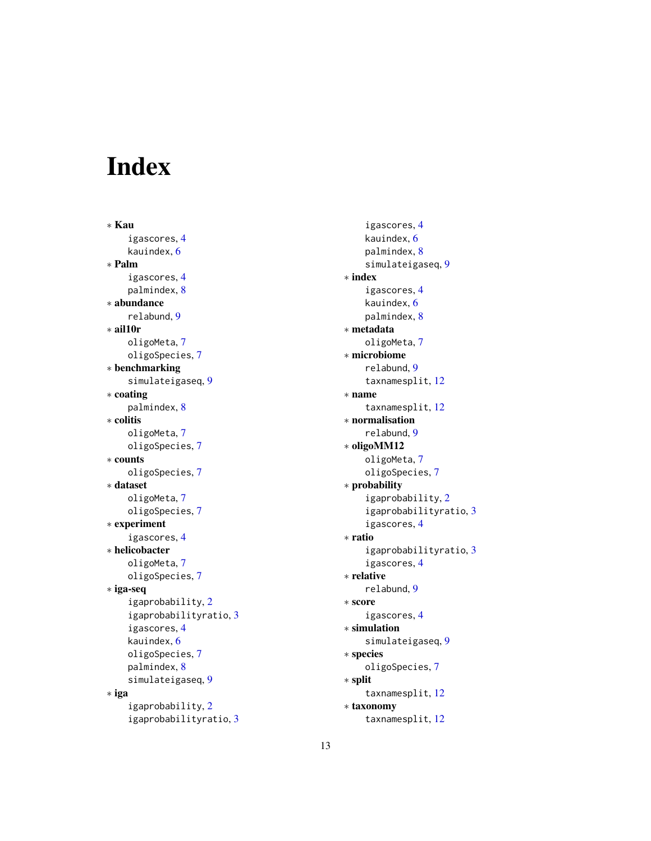# <span id="page-12-0"></span>Index

∗ Kau igascores, [4](#page-3-0) kauindex, [6](#page-5-0) ∗ Palm igascores, [4](#page-3-0) palmindex, [8](#page-7-0) ∗ abundance relabund, [9](#page-8-0) ∗ ail10r oligoMeta, [7](#page-6-0) oligoSpecies, [7](#page-6-0) ∗ benchmarking simulateigaseq, [9](#page-8-0) ∗ coating palmindex, [8](#page-7-0) ∗ colitis oligoMeta, [7](#page-6-0) oligoSpecies, [7](#page-6-0) ∗ counts oligoSpecies, [7](#page-6-0) ∗ dataset oligoMeta, [7](#page-6-0) oligoSpecies, [7](#page-6-0) ∗ experiment igascores, [4](#page-3-0) ∗ helicobacter oligoMeta, [7](#page-6-0) oligoSpecies, [7](#page-6-0) ∗ iga-seq igaprobability, [2](#page-1-0) igaprobabilityratio, [3](#page-2-0) igascores, [4](#page-3-0) kauindex, [6](#page-5-0) oligoSpecies, [7](#page-6-0) palmindex, [8](#page-7-0) simulateigaseq, [9](#page-8-0) ∗ iga igaprobability, [2](#page-1-0) igaprobabilityratio, [3](#page-2-0)

igascores, [4](#page-3-0) kauindex, [6](#page-5-0) palmindex, [8](#page-7-0) simulateigaseq, [9](#page-8-0) ∗ index igascores, [4](#page-3-0) kauindex, [6](#page-5-0) palmindex, [8](#page-7-0) ∗ metadata oligoMeta, [7](#page-6-0) ∗ microbiome relabund, [9](#page-8-0) taxnamesplit, [12](#page-11-0) ∗ name taxnamesplit, [12](#page-11-0) ∗ normalisation relabund, [9](#page-8-0) ∗ oligoMM12 oligoMeta, [7](#page-6-0) oligoSpecies, [7](#page-6-0) ∗ probability igaprobability, [2](#page-1-0) igaprobabilityratio, [3](#page-2-0) igascores, [4](#page-3-0) ∗ ratio igaprobabilityratio, [3](#page-2-0) igascores, [4](#page-3-0) ∗ relative relabund, [9](#page-8-0) ∗ score igascores, [4](#page-3-0) ∗ simulation simulateigaseq, [9](#page-8-0) ∗ species oligoSpecies, [7](#page-6-0) ∗ split taxnamesplit, [12](#page-11-0) ∗ taxonomy taxnamesplit, [12](#page-11-0)